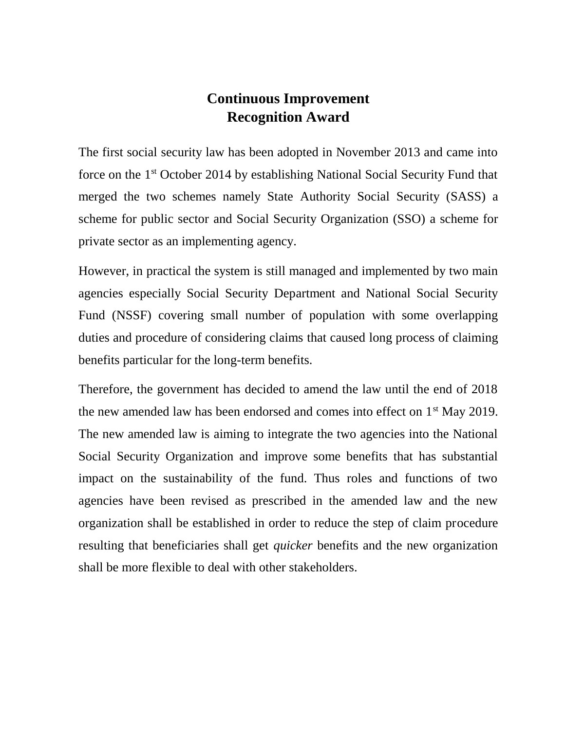## **Continuous Improvement Recognition Award**

The first social security law has been adopted in November 2013 and came into force on the 1st October 2014 by establishing National Social Security Fund that merged the two schemes namely State Authority Social Security (SASS) a scheme for public sector and Social Security Organization (SSO) a scheme for private sector as an implementing agency.

However, in practical the system is still managed and implemented by two main agencies especially Social Security Department and National Social Security Fund (NSSF) covering small number of population with some overlapping duties and procedure of considering claims that caused long process of claiming benefits particular for the long-term benefits.

Therefore, the government has decided to amend the law until the end of 2018 the new amended law has been endorsed and comes into effect on  $1<sup>st</sup>$  May 2019. The new amended law is aiming to integrate the two agencies into the National Social Security Organization and improve some benefits that has substantial impact on the sustainability of the fund. Thus roles and functions of two agencies have been revised as prescribed in the amended law and the new organization shall be established in order to reduce the step of claim procedure resulting that beneficiaries shall get *quicker* benefits and the new organization shall be more flexible to deal with other stakeholders.